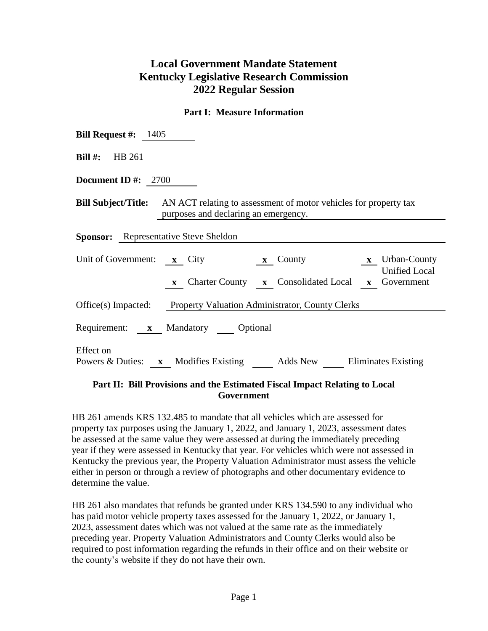## **Local Government Mandate Statement Kentucky Legislative Research Commission 2022 Regular Session**

## **Part I: Measure Information**

| <b>Bill Request #:</b> $1405$                                                                                                       |  |  |  |  |  |  |
|-------------------------------------------------------------------------------------------------------------------------------------|--|--|--|--|--|--|
| Bill #: $HB 261$                                                                                                                    |  |  |  |  |  |  |
| Document ID #: $2700$                                                                                                               |  |  |  |  |  |  |
| <b>Bill Subject/Title:</b> AN ACT relating to assessment of motor vehicles for property tax<br>purposes and declaring an emergency. |  |  |  |  |  |  |
| <b>Sponsor:</b> Representative Steve Sheldon                                                                                        |  |  |  |  |  |  |
| Unit of Government: x City x County x Urban-County<br><b>Unified Local</b><br>x Charter County x Consolidated Local x Government    |  |  |  |  |  |  |
| Office(s) Impacted: Property Valuation Administrator, County Clerks                                                                 |  |  |  |  |  |  |
| Requirement: x Mandatory Optional                                                                                                   |  |  |  |  |  |  |
| Effect on<br>Powers & Duties: x Modifies Existing Adds New Eliminates Existing                                                      |  |  |  |  |  |  |

## **Part II: Bill Provisions and the Estimated Fiscal Impact Relating to Local Government**

HB 261 amends KRS 132.485 to mandate that all vehicles which are assessed for property tax purposes using the January 1, 2022, and January 1, 2023, assessment dates be assessed at the same value they were assessed at during the immediately preceding year if they were assessed in Kentucky that year. For vehicles which were not assessed in Kentucky the previous year, the Property Valuation Administrator must assess the vehicle either in person or through a review of photographs and other documentary evidence to determine the value.

HB 261 also mandates that refunds be granted under KRS 134.590 to any individual who has paid motor vehicle property taxes assessed for the January 1, 2022, or January 1, 2023, assessment dates which was not valued at the same rate as the immediately preceding year. Property Valuation Administrators and County Clerks would also be required to post information regarding the refunds in their office and on their website or the county's website if they do not have their own.